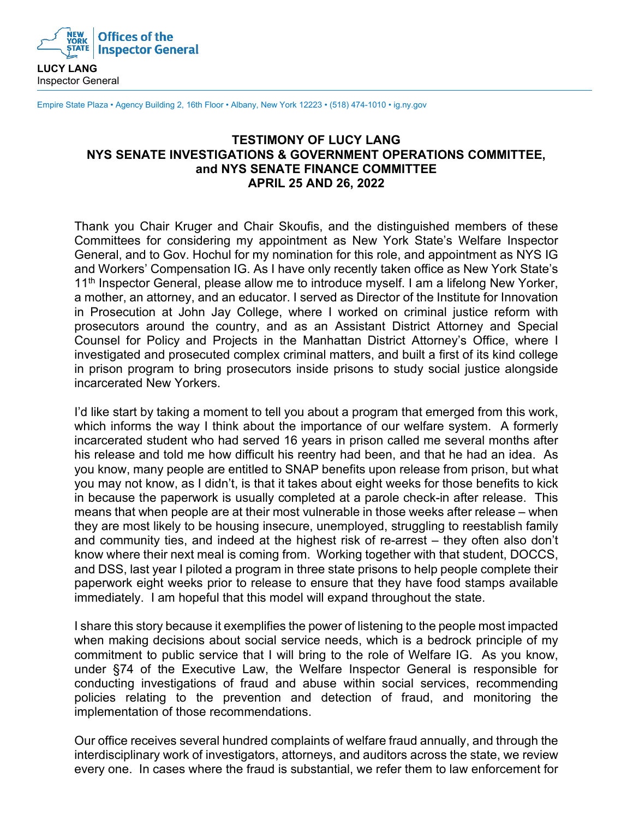

Empire State Plaza • Agency Building 2, 16th Floor • Albany, New York 12223 • (518) 474-1010 • ig.ny.gov

## **TESTIMONY OF LUCY LANG NYS SENATE INVESTIGATIONS & GOVERNMENT OPERATIONS COMMITTEE, and NYS SENATE FINANCE COMMITTEE APRIL 25 AND 26, 2022**

Thank you Chair Kruger and Chair Skoufis, and the distinguished members of these Committees for considering my appointment as New York State's Welfare Inspector General, and to Gov. Hochul for my nomination for this role, and appointment as NYS IG and Workers' Compensation IG. As I have only recently taken office as New York State's 11<sup>th</sup> Inspector General, please allow me to introduce myself. I am a lifelong New Yorker, a mother, an attorney, and an educator. I served as Director of the Institute for Innovation in Prosecution at John Jay College, where I worked on criminal justice reform with prosecutors around the country, and as an Assistant District Attorney and Special Counsel for Policy and Projects in the Manhattan District Attorney's Office, where I investigated and prosecuted complex criminal matters, and built a first of its kind college in prison program to bring prosecutors inside prisons to study social justice alongside incarcerated New Yorkers.

I'd like start by taking a moment to tell you about a program that emerged from this work, which informs the way I think about the importance of our welfare system. A formerly incarcerated student who had served 16 years in prison called me several months after his release and told me how difficult his reentry had been, and that he had an idea. As you know, many people are entitled to SNAP benefits upon release from prison, but what you may not know, as I didn't, is that it takes about eight weeks for those benefits to kick in because the paperwork is usually completed at a parole check-in after release. This means that when people are at their most vulnerable in those weeks after release – when they are most likely to be housing insecure, unemployed, struggling to reestablish family and community ties, and indeed at the highest risk of re-arrest – they often also don't know where their next meal is coming from. Working together with that student, DOCCS, and DSS, last year I piloted a program in three state prisons to help people complete their paperwork eight weeks prior to release to ensure that they have food stamps available immediately. I am hopeful that this model will expand throughout the state.

I share this story because it exemplifies the power of listening to the people most impacted when making decisions about social service needs, which is a bedrock principle of my commitment to public service that I will bring to the role of Welfare IG. As you know, under §74 of the Executive Law, the Welfare Inspector General is responsible for conducting investigations of fraud and abuse within social services, recommending policies relating to the prevention and detection of fraud, and monitoring the implementation of those recommendations.

Our office receives several hundred complaints of welfare fraud annually, and through the interdisciplinary work of investigators, attorneys, and auditors across the state, we review every one. In cases where the fraud is substantial, we refer them to law enforcement for